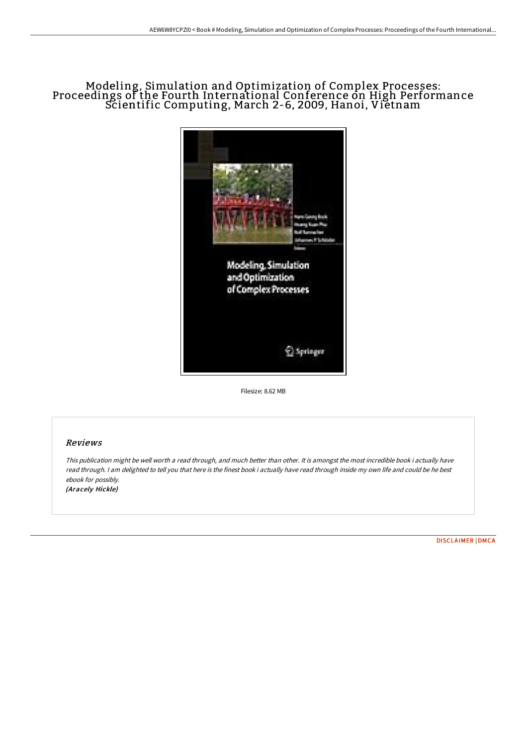# Modeling, Simulation and Optimization of Complex Processes: Proceedings of the Fourth International Conference on High Performance Scientific Computing, March 2-6, 2009, Hanoi, Vietnam



Filesize: 8.62 MB

## Reviews

This publication might be well worth <sup>a</sup> read through, and much better than other. It is amongst the most incredible book i actually have read through. <sup>I</sup> am delighted to tell you that here is the finest book i actually have read through inside my own life and could be he best ebook for possibly. (Aracely Hickle)

[DISCLAIMER](http://bookera.tech/disclaimer.html) | [DMCA](http://bookera.tech/dmca.html)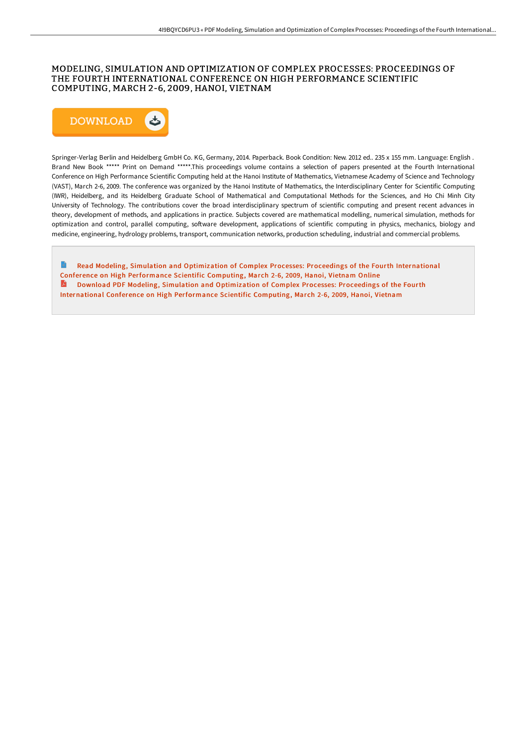### MODELING, SIMULATION AND OPTIMIZATION OF COMPLEX PROCESSES: PROCEEDINGS OF THE FOURTH INTERNATIONAL CONFERENCE ON HIGH PERFORMANCE SCIENTIFIC COMPUTING, MARCH 2-6, 2009, HANOI, VIETNAM



Springer-Verlag Berlin and Heidelberg GmbH Co. KG, Germany, 2014. Paperback. Book Condition: New. 2012 ed.. 235 x 155 mm. Language: English . Brand New Book \*\*\*\*\* Print on Demand \*\*\*\*\*.This proceedings volume contains a selection of papers presented at the Fourth International Conference on High Performance Scientific Computing held at the Hanoi Institute of Mathematics, Vietnamese Academy of Science and Technology (VAST), March 2-6, 2009. The conference was organized by the Hanoi Institute of Mathematics, the Interdisciplinary Center for Scientific Computing (IWR), Heidelberg, and its Heidelberg Graduate School of Mathematical and Computational Methods for the Sciences, and Ho Chi Minh City University of Technology. The contributions cover the broad interdisciplinary spectrum of scientific computing and present recent advances in theory, development of methods, and applications in practice. Subjects covered are mathematical modelling, numerical simulation, methods for optimization and control, parallel computing, software development, applications of scientific computing in physics, mechanics, biology and medicine, engineering, hydrology problems, transport, communication networks, production scheduling, industrial and commercial problems.

Read Modeling, Simulation and Optimization of Complex Processes: Proceedings of the Fourth [International](http://bookera.tech/modeling-simulation-and-optimization-of-complex--2.html) Conference on High Performance Scientific Computing, March 2-6, 2009, Hanoi, Vietnam Online Download PDF Modeling, Simulation and [Optimization](http://bookera.tech/modeling-simulation-and-optimization-of-complex--2.html) of Complex Processes: Proceedings of the Fourth International Conference on High Performance Scientific Computing, March 2-6, 2009, Hanoi, Vietnam